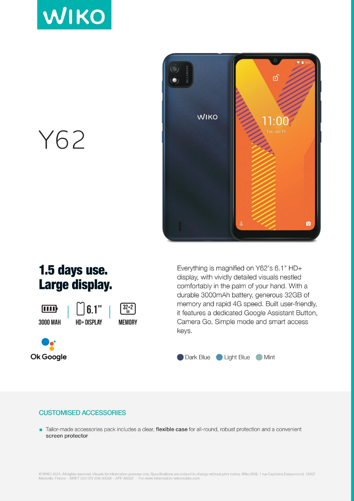



Y62

## 1.5 days use. Large display.

ामा **3000 MAH** 





Everything is magnified on Y62's 6.1" HD+ display, with vividly detailed visuals nestled comfortably in the palm of your hand. With a durable 3000mAh battery, generous 32GB of memory and rapid 4G speed. Built user-friendly, it features a dedicated Google Assistant Button, Camera Go, Simple mode and smart access keys.



## **CUSTOMISED ACCESSORIES**

Tailor-made accessories pack includes a clear, flexible case for all-round, robust protection and a convenient screen protector